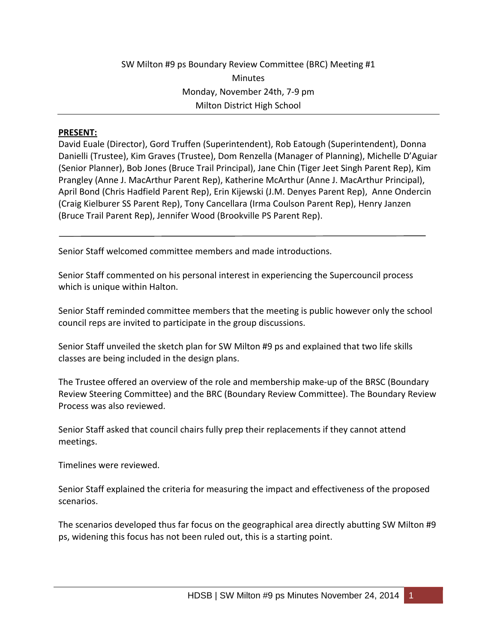## SW Milton #9 ps Boundary Review Committee (BRC) Meeting #1 Minutes Monday, November 24th, 7‐9 pm Milton District High School

## **PRESENT:**

David Euale (Director), Gord Truffen (Superintendent), Rob Eatough (Superintendent), Donna Danielli (Trustee), Kim Graves (Trustee), Dom Renzella (Manager of Planning), Michelle D'Aguiar (Senior Planner), Bob Jones (Bruce Trail Principal), Jane Chin (Tiger Jeet Singh Parent Rep), Kim Prangley (Anne J. MacArthur Parent Rep), Katherine McArthur (Anne J. MacArthur Principal), April Bond (Chris Hadfield Parent Rep), Erin Kijewski (J.M. Denyes Parent Rep), Anne Ondercin (Craig Kielburer SS Parent Rep), Tony Cancellara (Irma Coulson Parent Rep), Henry Janzen (Bruce Trail Parent Rep), Jennifer Wood (Brookville PS Parent Rep).

Senior Staff welcomed committee members and made introductions.

Senior Staff commented on his personal interest in experiencing the Supercouncil process which is unique within Halton.

Senior Staff reminded committee members that the meeting is public however only the school council reps are invited to participate in the group discussions.

Senior Staff unveiled the sketch plan for SW Milton #9 ps and explained that two life skills classes are being included in the design plans.

The Trustee offered an overview of the role and membership make‐up of the BRSC (Boundary Review Steering Committee) and the BRC (Boundary Review Committee). The Boundary Review Process was also reviewed.

Senior Staff asked that council chairs fully prep their replacements if they cannot attend meetings.

Timelines were reviewed.

Senior Staff explained the criteria for measuring the impact and effectiveness of the proposed scenarios.

The scenarios developed thus far focus on the geographical area directly abutting SW Milton #9 ps, widening this focus has not been ruled out, this is a starting point.